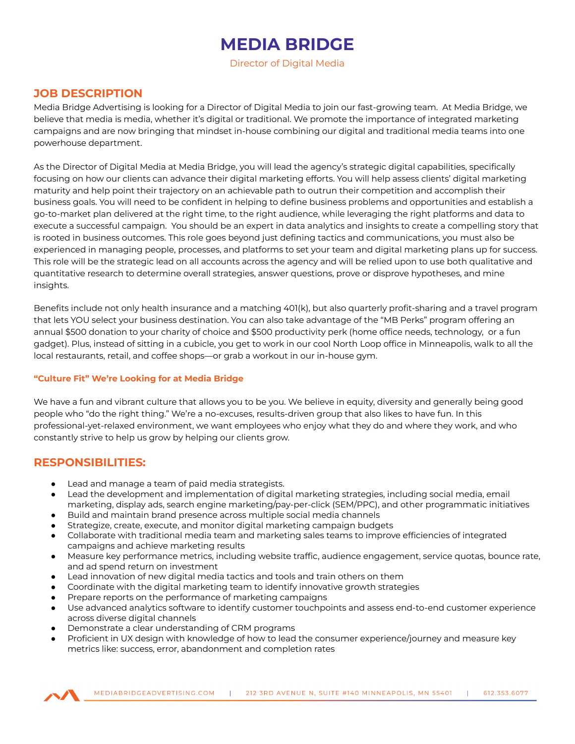# **MEDIA BRIDGE**

Director of Digital Media

#### **JOB DESCRIPTION**

Media Bridge Advertising is looking for a Director of Digital Media to join our fast-growing team. At Media Bridge, we believe that media is media, whether it's digital or traditional. We promote the importance of integrated marketing campaigns and are now bringing that mindset in-house combining our digital and traditional media teams into one powerhouse department.

As the Director of Digital Media at Media Bridge, you will lead the agency's strategic digital capabilities, specifically focusing on how our clients can advance their digital marketing efforts. You will help assess clients' digital marketing maturity and help point their trajectory on an achievable path to outrun their competition and accomplish their business goals. You will need to be confident in helping to define business problems and opportunities and establish a go-to-market plan delivered at the right time, to the right audience, while leveraging the right platforms and data to execute a successful campaign. You should be an expert in data analytics and insights to create a compelling story that is rooted in business outcomes. This role goes beyond just defining tactics and communications, you must also be experienced in managing people, processes, and platforms to set your team and digital marketing plans up for success. This role will be the strategic lead on all accounts across the agency and will be relied upon to use both qualitative and quantitative research to determine overall strategies, answer questions, prove or disprove hypotheses, and mine insights.

Benefits include not only health insurance and a matching 401(k), but also quarterly profit-sharing and a travel program that lets YOU select your business destination. You can also take advantage of the "MB Perks" program offering an annual \$500 donation to your charity of choice and \$500 productivity perk (home office needs, technology, or a fun gadget). Plus, instead of sitting in a cubicle, you get to work in our cool North Loop office in Minneapolis, walk to all the local restaurants, retail, and coffee shops—or grab a workout in our in-house gym.

#### **"Culture Fit" We're Looking for at Media Bridge**

We have a fun and vibrant culture that allows you to be you. We believe in equity, diversity and generally being good people who "do the right thing." We're a no-excuses, results-driven group that also likes to have fun. In this professional-yet-relaxed environment, we want employees who enjoy what they do and where they work, and who constantly strive to help us grow by helping our clients grow.

### **RESPONSIBILITIES:**

- Lead and manage a team of paid media strategists.
- Lead the development and implementation of digital marketing strategies, including social media, email marketing, display ads, search engine marketing/pay-per-click (SEM/PPC), and other programmatic initiatives
- Build and maintain brand presence across multiple social media channels
- Strategize, create, execute, and monitor digital marketing campaign budgets
- Collaborate with traditional media team and marketing sales teams to improve efficiencies of integrated campaigns and achieve marketing results
- Measure key performance metrics, including website traffic, audience engagement, service quotas, bounce rate, and ad spend return on investment
- Lead innovation of new digital media tactics and tools and train others on them
- Coordinate with the digital marketing team to identify innovative growth strategies
- Prepare reports on the performance of marketing campaigns
- Use advanced analytics software to identify customer touchpoints and assess end-to-end customer experience across diverse digital channels
- Demonstrate a clear understanding of CRM programs
- Proficient in UX design with knowledge of how to lead the consumer experience/journey and measure key metrics like: success, error, abandonment and completion rates